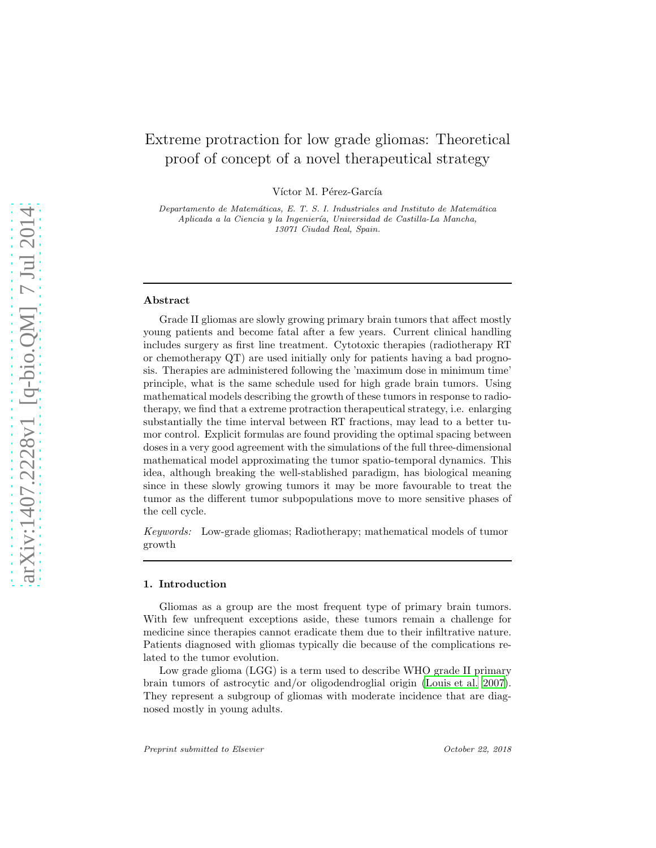# Extreme protraction for low grade gliomas: Theoretical proof of concept of a novel therapeutical strategy

Víctor M. Pérez-García

Departamento de Matemáticas, E. T. S. I. Industriales and Instituto de Matemática Aplicada a la Ciencia y la Ingeniería, Universidad de Castilla-La Mancha, 13071 Ciudad Real, Spain.

## Abstract

Grade II gliomas are slowly growing primary brain tumors that affect mostly young patients and become fatal after a few years. Current clinical handling includes surgery as first line treatment. Cytotoxic therapies (radiotherapy RT or chemotherapy QT) are used initially only for patients having a bad prognosis. Therapies are administered following the 'maximum dose in minimum time' principle, what is the same schedule used for high grade brain tumors. Using mathematical models describing the growth of these tumors in response to radiotherapy, we find that a extreme protraction therapeutical strategy, i.e. enlarging substantially the time interval between RT fractions, may lead to a better tumor control. Explicit formulas are found providing the optimal spacing between doses in a very good agreement with the simulations of the full three-dimensional mathematical model approximating the tumor spatio-temporal dynamics. This idea, although breaking the well-stablished paradigm, has biological meaning since in these slowly growing tumors it may be more favourable to treat the tumor as the different tumor subpopulations move to more sensitive phases of the cell cycle.

Keywords: Low-grade gliomas; Radiotherapy; mathematical models of tumor growth

#### 1. Introduction

Gliomas as a group are the most frequent type of primary brain tumors. With few unfrequent exceptions aside, these tumors remain a challenge for medicine since therapies cannot eradicate them due to their infiltrative nature. Patients diagnosed with gliomas typically die because of the complications related to the tumor evolution.

Low grade glioma (LGG) is a term used to describe WHO grade II primary brain tumors of astrocytic and/or oligodendroglial origin [\(Louis et al. 2007\)](#page-19-0). They represent a subgroup of gliomas with moderate incidence that are diagnosed mostly in young adults.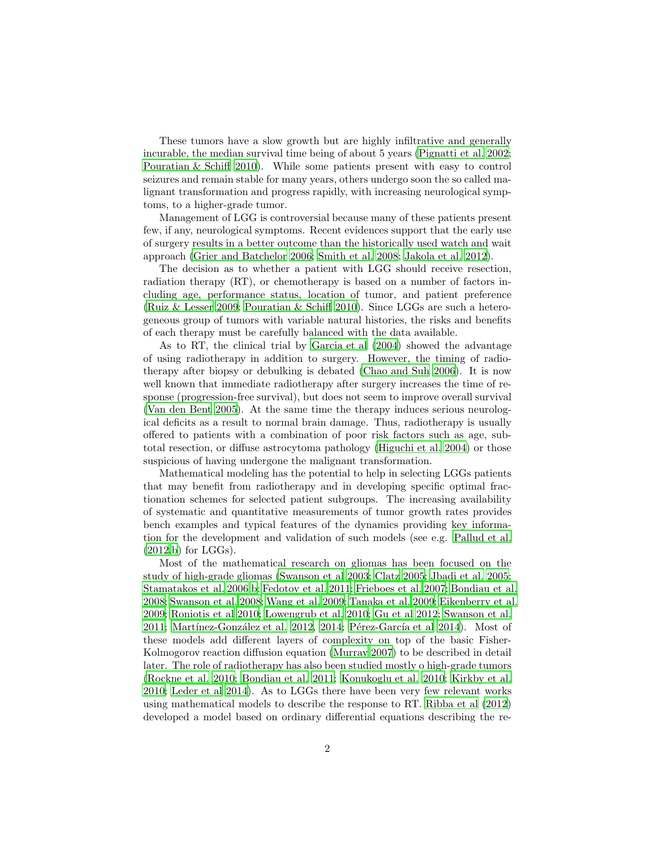These tumors have a slow growth but are highly infiltrative and generally incurable, the median survival time being of about 5 years [\(Pignatti](#page-20-0) et al. [2002;](#page-20-0) [Pouratian & Schiff 2010\)](#page-20-1). While some patients present with easy to control seizures and remain stable for many years, others undergo soon the so called malignant transformation and progress rapidly, with increasing neurological symptoms, to a higher-grade tumor.

Management of LGG is controversial because many of these patients present few, if any, neurological symptoms. Recent evidences support that the early use of surgery results in a better outcome than the historically used watch and wait approach [\(Grier and Batchelor 2006;](#page-18-0) [Smith et al. 2008;](#page-21-0) [Jakola et al.](#page-18-1) [2012\)](#page-18-1).

The decision as to whether a patient with LGG should receive resection, radiation therapy (RT), or chemotherapy is based on a number of factors including age, performance status, location of tumor, and patient preference [\(Ruiz & Lesser 2009](#page-21-1); [Pouratian & Schiff 2010\)](#page-20-1). Since LGGs are such a heterogeneous group of tumors with variable natural histories, the risks and benefits of each therapy must be carefully balanced with the data available.

As to RT, the clinical trial by [Garcia et al \(2004](#page-18-2)) showed the advantage of using radiotherapy in addition to surgery. However, the timing of radiotherapy after biopsy or debulking is debated [\(Chao and Suh 2006\)](#page-17-0). It is now well known that immediate radiotherapy after surgery increases the time of response (progression-free survival), but does not seem to improve overall survival [\(Van den Bent 2005](#page-22-0)). At the same time the therapy induces serious neurological deficits as a result to normal brain damage. Thus, radiotherapy is usually offered to patients with a combination of poor risk factors such as age, subtotal resection, or diffuse astrocytoma pathology [\(Higuchi et al.](#page-18-3) [2004](#page-18-3)) or those suspicious of having undergone the malignant transformation.

Mathematical modeling has the potential to help in selecting LGGs patients that may benefit from radiotherapy and in developing specific optimal fractionation schemes for selected patient subgroups. The increasing availability of systematic and quantitative measurements of tumor growth rates provides bench examples and typical features of the dynamics providing key information for the development and validation of such models (see e.g. [Pallud](#page-20-2) et al.  $(2012,b)$  $(2012,b)$  for LGGs).

Most of the mathematical research on gliomas has been focused on the study of high-grade gliomas [\(Swanson et al 2003](#page-21-2); [Clatz 2005;](#page-17-1) [Jbadi et al. 2005;](#page-19-1) [Stamatakos et al. 2006](#page-21-3)[,b](#page-21-4); [Fedotov et al. 2011](#page-18-4); [Frieboes et al. 2007;](#page-18-5) [Bondiau et al.](#page-17-2) [2008;](#page-17-2) [Swanson et al. 2008;](#page-21-5) [Wang et al. 2009](#page-22-1); [Tanaka et al. 2009;](#page-21-6) [Eikenberry et al.](#page-18-6) [2009;](#page-18-6) [Roniotis et al 2010;](#page-21-7) [Lowengrub et al. 2010;](#page-19-2) [Gu et al 2012;](#page-18-7) [Swanson et al.](#page-21-8)  $2011$ ; Martínez-González et al.  $2012$ ,  $2014$ ; Pérez-García et al  $2014$ ). Most of these models add different layers of complexity on top of the basic Fisher-Kolmogorov reaction diffusion equation [\(Murray 2007\)](#page-20-5) to be described in detail later. The role of radiotherapy has also been studied mostly o high-grade tumors [\(Rockne et al. 2010](#page-21-9); [Bondiau et al. 2011;](#page-17-3) [Konukoglu et al. 2010;](#page-19-5) [Kirkby et al.](#page-17-4) [2010;](#page-17-4) [Leder et al 2014\)](#page-19-6). As to LGGs there have been very few relevant works using mathematical models to describe the response to RT. [Ribba et](#page-20-6) al [\(2012\)](#page-20-6) developed a model based on ordinary differential equations describing the re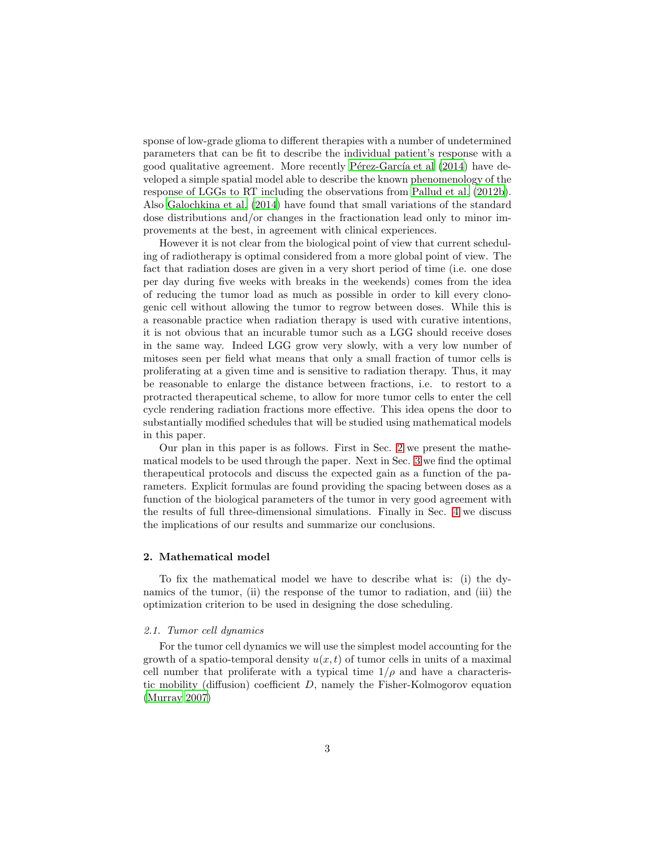sponse of low-grade glioma to different therapies with a number of undetermined parameters that can be fit to describe the individual patient's response with a good qualitative agreement. More recently P $\acute{e}$ rez-García et al (2014) have developed a simple spatial model able to describe the known phenomenology of the response of LGGs to RT including the observations from [Pallud et al. \(2012b\)](#page-20-3). Also [Galochkina et al. \(2014](#page-18-8)) have found that small variations of the standard dose distributions and/or changes in the fractionation lead only to minor improvements at the best, in agreement with clinical experiences.

However it is not clear from the biological point of view that current scheduling of radiotherapy is optimal considered from a more global point of view. The fact that radiation doses are given in a very short period of time (i.e. one dose per day during five weeks with breaks in the weekends) comes from the idea of reducing the tumor load as much as possible in order to kill every clonogenic cell without allowing the tumor to regrow between doses. While this is a reasonable practice when radiation therapy is used with curative intentions, it is not obvious that an incurable tumor such as a LGG should receive doses in the same way. Indeed LGG grow very slowly, with a very low number of mitoses seen per field what means that only a small fraction of tumor cells is proliferating at a given time and is sensitive to radiation therapy. Thus, it may be reasonable to enlarge the distance between fractions, i.e. to restort to a protracted therapeutical scheme, to allow for more tumor cells to enter the cell cycle rendering radiation fractions more effective. This idea opens the door to substantially modified schedules that will be studied using mathematical models in this paper.

Our plan in this paper is as follows. First in Sec. [2](#page-2-0) we present the mathematical models to be used through the paper. Next in Sec. [3](#page-6-0) we find the optimal therapeutical protocols and discuss the expected gain as a function of the parameters. Explicit formulas are found providing the spacing between doses as a function of the biological parameters of the tumor in very good agreement with the results of full three-dimensional simulations. Finally in Sec. [4](#page-13-0) we discuss the implications of our results and summarize our conclusions.

### <span id="page-2-0"></span>2. Mathematical model

To fix the mathematical model we have to describe what is: (i) the dynamics of the tumor, (ii) the response of the tumor to radiation, and (iii) the optimization criterion to be used in designing the dose scheduling.

#### 2.1. Tumor cell dynamics

<span id="page-2-1"></span>For the tumor cell dynamics we will use the simplest model accounting for the growth of a spatio-temporal density  $u(x, t)$  of tumor cells in units of a maximal cell number that proliferate with a typical time  $1/\rho$  and have a characteristic mobility (diffusion) coefficient  $D$ , namely the Fisher-Kolmogorov equation [\(Murray 2007\)](#page-20-5)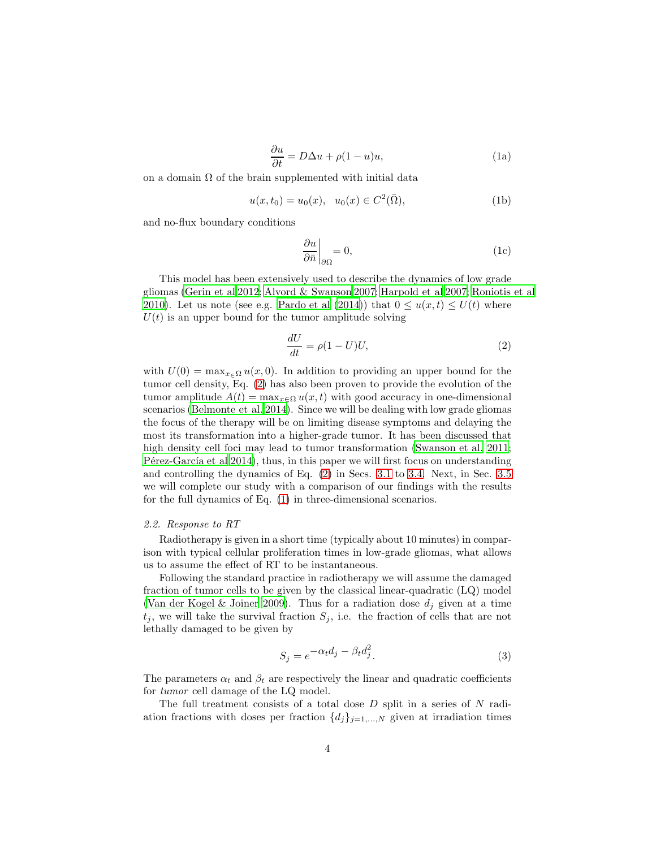$$
\frac{\partial u}{\partial t} = D\Delta u + \rho (1 - u)u,\tag{1a}
$$

on a domain  $\Omega$  of the brain supplemented with initial data

$$
u(x, t_0) = u_0(x), \ \ u_0(x) \in C^2(\bar{\Omega}), \tag{1b}
$$

and no-flux boundary conditions

$$
\left. \frac{\partial u}{\partial \bar{n}} \right|_{\partial \Omega} = 0,\tag{1c}
$$

This model has been extensively used to describe the dynamics of low grade gliomas [\(Gerin et al 2012;](#page-18-9) [Alvord & Swanson 2007;](#page-17-5) [Harpold et al 2007;](#page-18-10) [Roniotis et al](#page-21-7) [2010\)](#page-21-7). Let us note (see e.g. [Pardo et al \(2014\)](#page-20-7)) that  $0 \le u(x,t) \le U(t)$  where  $U(t)$  is an upper bound for the tumor amplitude solving

<span id="page-3-0"></span>
$$
\frac{dU}{dt} = \rho(1 - U)U,\tag{2}
$$

with  $U(0) = \max_{x \in \Omega} u(x, 0)$ . In addition to providing an upper bound for the tumor cell density, Eq. [\(2\)](#page-3-0) has also been proven to provide the evolution of the tumor amplitude  $A(t) = \max_{x \in \Omega} u(x, t)$  with good accuracy in one-dimensional scenarios [\(Belmonte et al. 2014\)](#page-17-6). Since we will be dealing with low grade gliomas the focus of the therapy will be on limiting disease symptoms and delaying the most its transformation into a higher-grade tumor. It has been discussed that high density cell foci may lead to tumor transformation [\(Swanson et al. 2011;](#page-21-8)  $P$ érez-García et al 2014), thus, in this paper we will first focus on understanding and controlling the dynamics of Eq. [\(2\)](#page-3-0) in Secs. [3.1](#page-6-1) to [3.4.](#page-11-0) Next, in Sec. [3.5](#page-11-1) we will complete our study with a comparison of our findings with the results for the full dynamics of Eq. [\(1\)](#page-2-1) in three-dimensional scenarios.

#### 2.2. Response to RT

Radiotherapy is given in a short time (typically about 10 minutes) in comparison with typical cellular proliferation times in low-grade gliomas, what allows us to assume the effect of RT to be instantaneous.

Following the standard practice in radiotherapy we will assume the damaged fraction of tumor cells to be given by the classical linear-quadratic (LQ) model [\(Van der Kogel & Joiner 2009\)](#page-22-2). Thus for a radiation dose  $d_j$  given at a time  $t_j$ , we will take the survival fraction  $S_j$ , i.e. the fraction of cells that are not lethally damaged to be given by

<span id="page-3-1"></span>
$$
S_j = e^{-\alpha_t d_j - \beta_t d_j^2}.
$$
\n(3)

The parameters  $\alpha_t$  and  $\beta_t$  are respectively the linear and quadratic coefficients for tumor cell damage of the LQ model.

The full treatment consists of a total dose  $D$  split in a series of  $N$  radiation fractions with doses per fraction  $\{d_j\}_{j=1,\ldots,N}$  given at irradiation times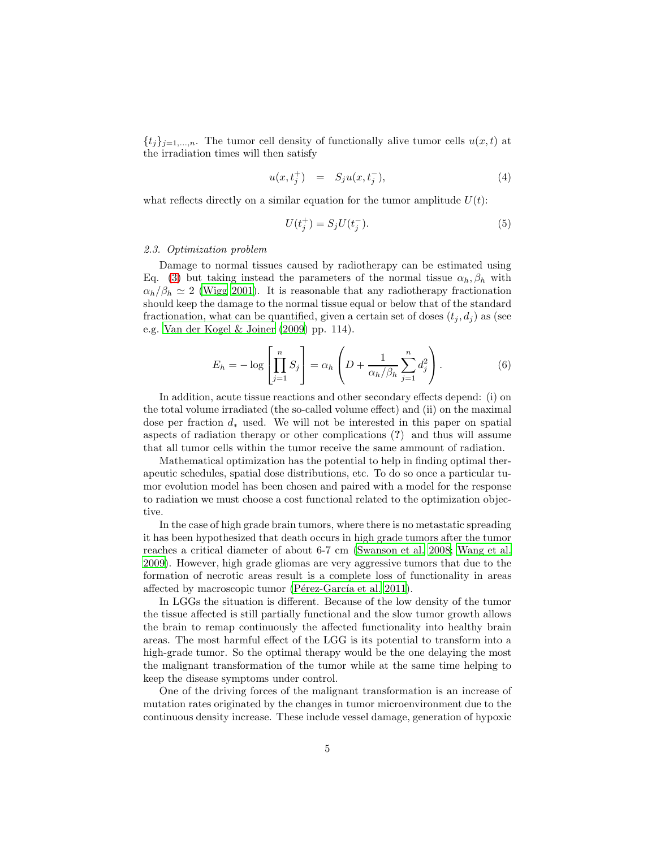${t_j}_{j=1,\ldots,n}$ . The tumor cell density of functionally alive tumor cells  $u(x, t)$  at the irradiation times will then satisfy

$$
u(x, t_j^+) = S_j u(x, t_j^-), \tag{4}
$$

what reflects directly on a similar equation for the tumor amplitude  $U(t)$ :

<span id="page-4-1"></span>
$$
U(t_j^+) = S_j U(t_j^-). \tag{5}
$$

#### 2.3. Optimization problem

Damage to normal tissues caused by radiotherapy can be estimated using Eq. [\(3\)](#page-3-1) but taking instead the parameters of the normal tissue  $\alpha_h$ ,  $\beta_h$  with  $\alpha_h/\beta_h \simeq 2$  [\(Wigg 2001](#page-22-3)). It is reasonable that any radiotherapy fractionation should keep the damage to the normal tissue equal or below that of the standard fractionation, what can be quantified, given a certain set of doses  $(t_i, d_i)$  as (see e.g. [Van der Kogel & Joiner \(2009\)](#page-22-2) pp. 114).

<span id="page-4-0"></span>
$$
E_h = -\log\left[\prod_{j=1}^n S_j\right] = \alpha_h \left(D + \frac{1}{\alpha_h/\beta_h} \sum_{j=1}^n d_j^2\right). \tag{6}
$$

In addition, acute tissue reactions and other secondary effects depend: (i) on the total volume irradiated (the so-called volume effect) and (ii) on the maximal dose per fraction  $d_*$  used. We will not be interested in this paper on spatial aspects of radiation therapy or other complications (?) and thus will assume that all tumor cells within the tumor receive the same ammount of radiation.

Mathematical optimization has the potential to help in finding optimal therapeutic schedules, spatial dose distributions, etc. To do so once a particular tumor evolution model has been chosen and paired with a model for the response to radiation we must choose a cost functional related to the optimization objective.

In the case of high grade brain tumors, where there is no metastatic spreading it has been hypothesized that death occurs in high grade tumors after the tumor reaches a critical diameter of about 6-7 cm [\(Swanson et al. 2008;](#page-21-5) [Wang et al.](#page-22-1) [2009\)](#page-22-1). However, high grade gliomas are very aggressive tumors that due to the formation of necrotic areas result is a complete loss of functionality in areas affected by macroscopic tumor (Pérez-García et al. 2011).

In LGGs the situation is different. Because of the low density of the tumor the tissue affected is still partially functional and the slow tumor growth allows the brain to remap continuously the affected functionality into healthy brain areas. The most harmful effect of the LGG is its potential to transform into a high-grade tumor. So the optimal therapy would be the one delaying the most the malignant transformation of the tumor while at the same time helping to keep the disease symptoms under control.

One of the driving forces of the malignant transformation is an increase of mutation rates originated by the changes in tumor microenvironment due to the continuous density increase. These include vessel damage, generation of hypoxic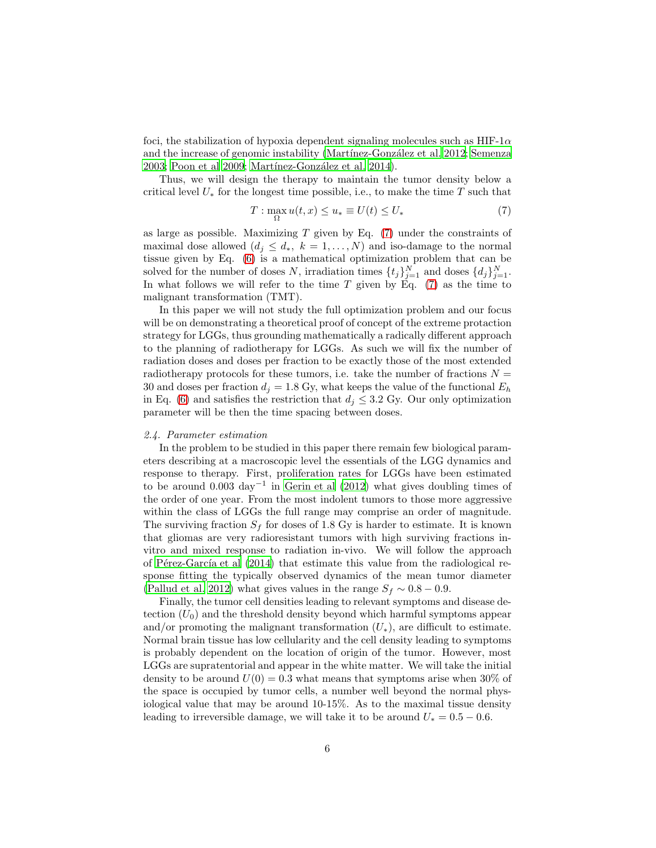foci, the stabilization of hypoxia dependent signaling molecules such as  $HIF-1\alpha$ and the increase of genomic instability (Martínez-González et al. 2012; [Semenza](#page-21-10) [2003;](#page-21-10) [Poon et al 2009;](#page-20-9) Martínez-González et al. 2014).

Thus, we will design the therapy to maintain the tumor density below a critical level  $U_*$  for the longest time possible, i.e., to make the time  $T$  such that

<span id="page-5-0"></span>
$$
T: \max_{\Omega} u(t, x) \le u_* \equiv U(t) \le U_* \tag{7}
$$

as large as possible. Maximizing  $T$  given by Eq. [\(7\)](#page-5-0) under the constraints of maximal dose allowed  $(d_j \leq d_*, k = 1, ..., N)$  and iso-damage to the normal tissue given by Eq. [\(6\)](#page-4-0) is a mathematical optimization problem that can be solved for the number of doses N, irradiation times  $\{t_j\}_{j=1}^N$  and doses  $\{d_j\}_{j=1}^N$ . In what follows we will refer to the time  $T$  given by Eq. [\(7\)](#page-5-0) as the time to malignant transformation (TMT).

In this paper we will not study the full optimization problem and our focus will be on demonstrating a theoretical proof of concept of the extreme protaction strategy for LGGs, thus grounding mathematically a radically different approach to the planning of radiotherapy for LGGs. As such we will fix the number of radiation doses and doses per fraction to be exactly those of the most extended radiotherapy protocols for these tumors, i.e. take the number of fractions  $N =$ 30 and doses per fraction  $d_j = 1.8 \text{ Gy}$ , what keeps the value of the functional  $E_h$ in Eq. [\(6\)](#page-4-0) and satisfies the restriction that  $d_j \leq 3.2$  Gy. Our only optimization parameter will be then the time spacing between doses.

#### <span id="page-5-1"></span>2.4. Parameter estimation

In the problem to be studied in this paper there remain few biological parameters describing at a macroscopic level the essentials of the LGG dynamics and response to therapy. First, proliferation rates for LGGs have been estimated to be around 0.003 day<sup>−</sup><sup>1</sup> in [Gerin et al \(2012\)](#page-18-9) what gives doubling times of the order of one year. From the most indolent tumors to those more aggressive within the class of LGGs the full range may comprise an order of magnitude. The surviving fraction  $S_f$  for doses of 1.8 Gy is harder to estimate. It is known that gliomas are very radioresistant tumors with high surviving fractions invitro and mixed response to radiation in-vivo. We will follow the approach of Pérez-García et al  $(2014)$  that estimate this value from the radiological response fitting the typically observed dynamics of the mean tumor diameter [\(Pallud et al. 2012\)](#page-20-2) what gives values in the range  $S_f \sim 0.8 - 0.9$ .

Finally, the tumor cell densities leading to relevant symptoms and disease detection  $(U_0)$  and the threshold density beyond which harmful symptoms appear and/or promoting the malignant transformation  $(U_*)$ , are difficult to estimate. Normal brain tissue has low cellularity and the cell density leading to symptoms is probably dependent on the location of origin of the tumor. However, most LGGs are supratentorial and appear in the white matter. We will take the initial density to be around  $U(0) = 0.3$  what means that symptoms arise when 30% of the space is occupied by tumor cells, a number well beyond the normal physiological value that may be around 10-15%. As to the maximal tissue density leading to irreversible damage, we will take it to be around  $U_* = 0.5 - 0.6$ .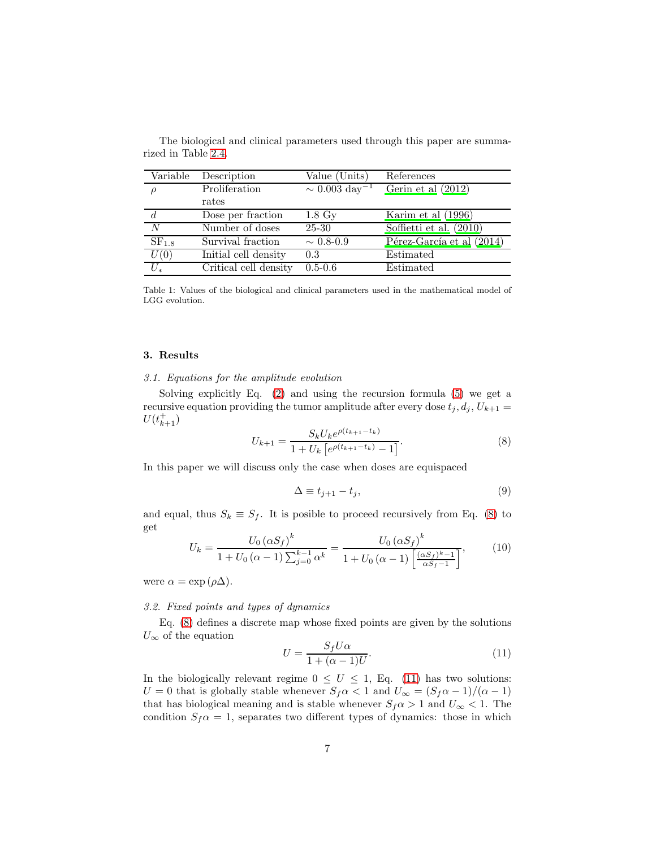| Variable   | Description           | Value (Units)                  | References                |
|------------|-----------------------|--------------------------------|---------------------------|
|            | Proliferation         | $\sim 0.003 \ \text{day}^{-1}$ | Gerin et al $(2012)$      |
|            | rates                 |                                |                           |
|            | Dose per fraction     | $1.8\ \mathrm{Gy}$             | Karim et al (1996)        |
| N          | Number of doses       | 25-30                          | Soffietti et al. (2010)   |
| $SF_{1.8}$ | Survival fraction     | $\sim 0.8 - 0.9$               | Pérez-García et al (2014) |
| U(0)       | Initial cell density  | 0.3                            | Estimated                 |
| $U_*$      | Critical cell density | $0.5 - 0.6$                    | Estimated                 |

The biological and clinical parameters used through this paper are summarized in Table [2.4.](#page-5-1)

Table 1: Values of the biological and clinical parameters used in the mathematical model of LGG evolution.

#### <span id="page-6-1"></span><span id="page-6-0"></span>3. Results

### 3.1. Equations for the amplitude evolution

Solving explicitly Eq. [\(2\)](#page-3-0) and using the recursion formula [\(5\)](#page-4-1) we get a recursive equation providing the tumor amplitude after every dose  $t_i, d_i, U_{k+1} =$  $U(t_{k+1}^+)$ 

<span id="page-6-2"></span>
$$
U_{k+1} = \frac{S_k U_k e^{\rho(t_{k+1} - t_k)}}{1 + U_k \left[ e^{\rho(t_{k+1} - t_k)} - 1 \right]}.
$$
\n(8)

In this paper we will discuss only the case when doses are equispaced

$$
\Delta \equiv t_{j+1} - t_j,\tag{9}
$$

and equal, thus  $S_k \equiv S_f$ . It is posible to proceed recursively from Eq. [\(8\)](#page-6-2) to get k

<span id="page-6-4"></span>
$$
U_k = \frac{U_0 (\alpha S_f)^k}{1 + U_0 (\alpha - 1) \sum_{j=0}^{k-1} \alpha^k} = \frac{U_0 (\alpha S_f)^k}{1 + U_0 (\alpha - 1) \left[ \frac{(\alpha S_f)^k - 1}{\alpha S_f - 1} \right]},
$$
(10)

were  $\alpha = \exp(\rho \Delta)$ .

#### 3.2. Fixed points and types of dynamics

Eq. [\(8\)](#page-6-2) defines a discrete map whose fixed points are given by the solutions  $U_{\infty}$  of the equation

<span id="page-6-3"></span>
$$
U = \frac{S_f U \alpha}{1 + (\alpha - 1)U}.\tag{11}
$$

In the biologically relevant regime  $0 \leq U \leq 1$ , Eq. [\(11\)](#page-6-3) has two solutions:  $U = 0$  that is globally stable whenever  $S_f \alpha < 1$  and  $U_{\infty} = (S_f \alpha - 1)/(\alpha - 1)$ that has biological meaning and is stable whenever  $S_f \alpha > 1$  and  $U_{\infty} < 1$ . The condition  $S_f \alpha = 1$ , separates two different types of dynamics: those in which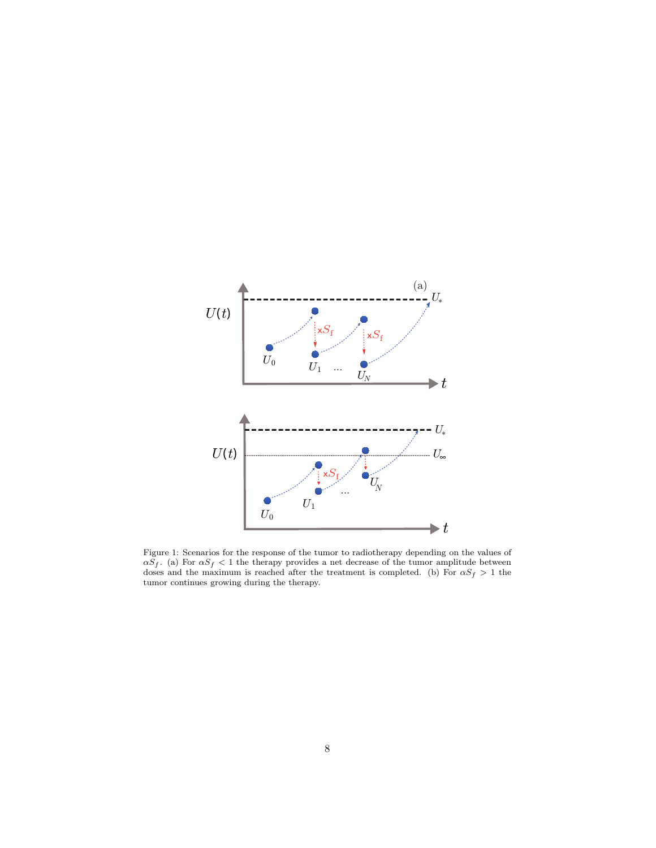

<span id="page-7-0"></span>Figure 1: Scenarios for the response of the tumor to radiotherapy depending on the values of  $\alpha S_f$ . (a) For  $\alpha S_f < 1$  the therapy provides a net decrease of the tumor amplitude between doses and the maximum is reached after the treatment is completed. (b) For  $\alpha S_f > 1$  the tumor continues growing during the therapy.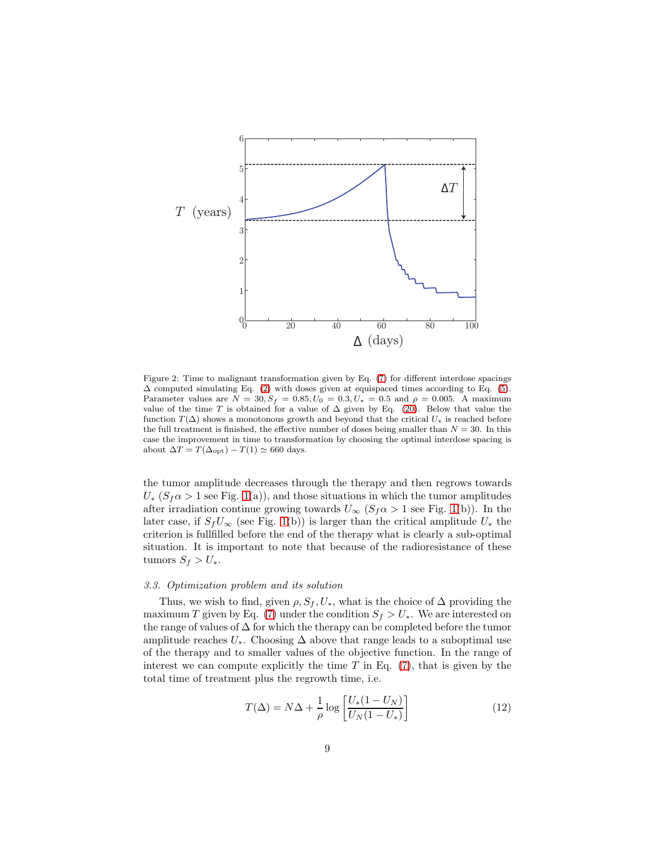

<span id="page-8-1"></span>Figure 2: Time to malignant transformation given by Eq. [\(7\)](#page-5-0) for different interdose spacings ∆ computed simulating Eq. [\(2\)](#page-3-0) with doses given at equispaced times according to Eq. [\(5\)](#page-4-1). Parameter values are  $N = 30, S_f = 0.85, U_0 = 0.3, U_* = 0.5$  and  $\rho = 0.005$ . A maximum value of the time T is obtained for a value of  $\Delta$  given by Eq. [\(20\)](#page-9-0). Below that value the function  $T(\Delta)$  shows a monotonous growth and beyond that the critical  $U_*$  is reached before the full treatment is finished, the effective number of doses being smaller than  $N = 30$ . In this case the improvement in time to transformation by choosing the optimal interdose spacing is about  $\Delta T = T(\Delta_{\text{opt}}) - T(1) \simeq 660$  days.

the tumor amplitude decreases through the therapy and then regrows towards  $U_*(S_f \alpha > 1$  see Fig. [1\(](#page-7-0)a)), and those situations in which the tumor amplitudes after irradiation continue growing towards  $U_{\infty}$  ( $S_f \alpha > 1$  see Fig. [1\(](#page-7-0)b)). In the later case, if  $S_fU_\infty$  (see Fig. [1\(](#page-7-0)b)) is larger than the critical amplitude  $U_*$  the criterion is fullfilled before the end of the therapy what is clearly a sub-optimal situation. It is important to note that because of the radioresistance of these tumors  $S_f > U_*$ .

#### <span id="page-8-2"></span>3.3. Optimization problem and its solution

Thus, we wish to find, given  $\rho$ ,  $S_f$ ,  $U_*$ , what is the choice of  $\Delta$  providing the maximum T given by Eq. [\(7\)](#page-5-0) under the condition  $S_f > U_*$ . We are interested on the range of values of  $\Delta$  for which the therapy can be completed before the tumor amplitude reaches  $U_*$ . Choosing  $\Delta$  above that range leads to a suboptimal use of the therapy and to smaller values of the objective function. In the range of interest we can compute explicitly the time  $T$  in Eq. [\(7\)](#page-5-0), that is given by the total time of treatment plus the regrowth time, i.e.

<span id="page-8-0"></span>
$$
T(\Delta) = N\Delta + \frac{1}{\rho} \log \left[ \frac{U_*(1 - U_N)}{U_N(1 - U_*)} \right] \tag{12}
$$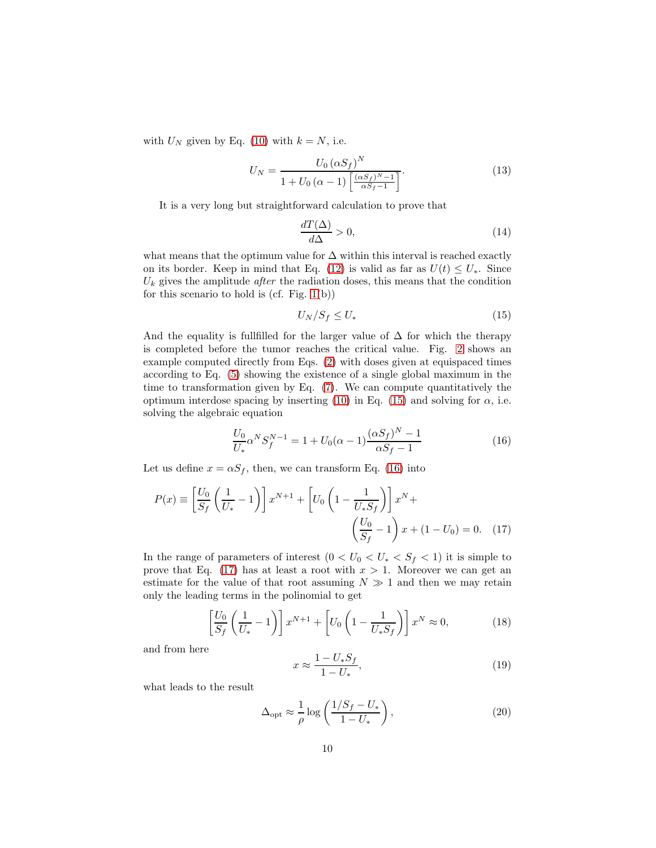with  $U_N$  given by Eq. [\(10\)](#page-6-4) with  $k = N$ , i.e.

$$
U_N = \frac{U_0 \left(\alpha S_f\right)^N}{1 + U_0 \left(\alpha - 1\right) \left[\frac{\left(\alpha S_f\right)^{N} - 1}{\alpha S_f - 1}\right]}.
$$
\n(13)

It is a very long but straightforward calculation to prove that

$$
\frac{dT(\Delta)}{d\Delta} > 0,\t\t(14)
$$

what means that the optimum value for  $\Delta$  within this interval is reached exactly on its border. Keep in mind that Eq. [\(12\)](#page-8-0) is valid as far as  $U(t) \leq U_*$ . Since  $U_k$  gives the amplitude *after* the radiation doses, this means that the condition for this scenario to hold is (cf. Fig.  $1(b)$ )

<span id="page-9-1"></span>
$$
U_N/S_f \le U_*\tag{15}
$$

And the equality is fullfilled for the larger value of  $\Delta$  for which the therapy is completed before the tumor reaches the critical value. Fig. [2](#page-8-1) shows an example computed directly from Eqs. [\(2\)](#page-3-0) with doses given at equispaced times according to Eq. [\(5\)](#page-4-1) showing the existence of a single global maximum in the time to transformation given by Eq. [\(7\)](#page-5-0). We can compute quantitatively the optimum interdose spacing by inserting [\(10\)](#page-6-4) in Eq. [\(15\)](#page-9-1) and solving for  $\alpha$ , i.e. solving the algebraic equation

<span id="page-9-2"></span>
$$
\frac{U_0}{U_*} \alpha^N S_f^{N-1} = 1 + U_0(\alpha - 1) \frac{(\alpha S_f)^N - 1}{\alpha S_f - 1}
$$
\n(16)

Let us define  $x = \alpha S_f$ , then, we can transform Eq. [\(16\)](#page-9-2) into

$$
P(x) \equiv \left[\frac{U_0}{S_f} \left(\frac{1}{U_*} - 1\right)\right] x^{N+1} + \left[U_0 \left(1 - \frac{1}{U_* S_f}\right)\right] x^N + \left(\frac{U_0}{S_f} - 1\right) x + (1 - U_0) = 0. \tag{17}
$$

In the range of parameters of interest  $(0 < U_0 < U_* < S_f < 1)$  it is simple to prove that Eq. [\(17\)](#page-9-3) has at least a root with  $x > 1$ . Moreover we can get an estimate for the value of that root assuming  $N \gg 1$  and then we may retain only the leading terms in the polinomial to get

$$
\left[\frac{U_0}{S_f}\left(\frac{1}{U_*}-1\right)\right]x^{N+1} + \left[U_0\left(1 - \frac{1}{U_*S_f}\right)\right]x^N \approx 0,\tag{18}
$$

and from here

<span id="page-9-3"></span>
$$
x \approx \frac{1 - U_* S_f}{1 - U_*},\tag{19}
$$

what leads to the result

<span id="page-9-0"></span>
$$
\Delta_{\rm opt} \approx \frac{1}{\rho} \log \left( \frac{1/S_f - U_*}{1 - U_*} \right),\tag{20}
$$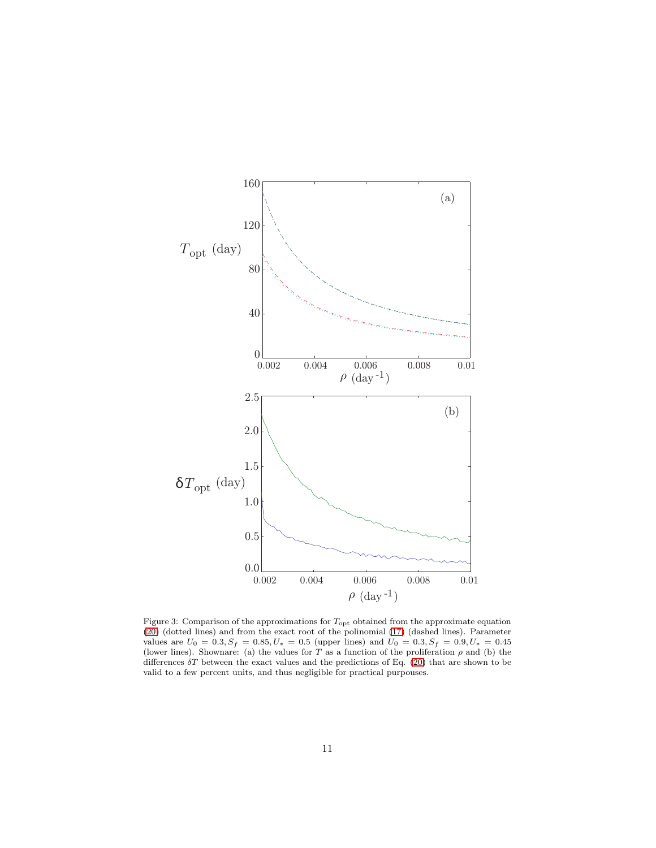

<span id="page-10-0"></span>Figure 3: Comparison of the approximations for  $T_{\text{opt}}$  obtained from the approximate equation [\(20\)](#page-9-0) (dotted lines) and from the exact root of the polinomial [\(17\)](#page-9-3) (dashed lines). Parameter values are  $U_0 = 0.3, S_f = 0.85, U_* = 0.5$  (upper lines) and  $U_0 = 0.3, S_f = 0.9, U_* = 0.45$ (lower lines). Shownare: (a) the values for T as a function of the proliferation  $\rho$  and (b) the differences  $\delta T$  between the exact values and the predictions of Eq. [\(20\)](#page-9-0) that are shown to be valid to a few percent units, and thus negligible for practical purpouses.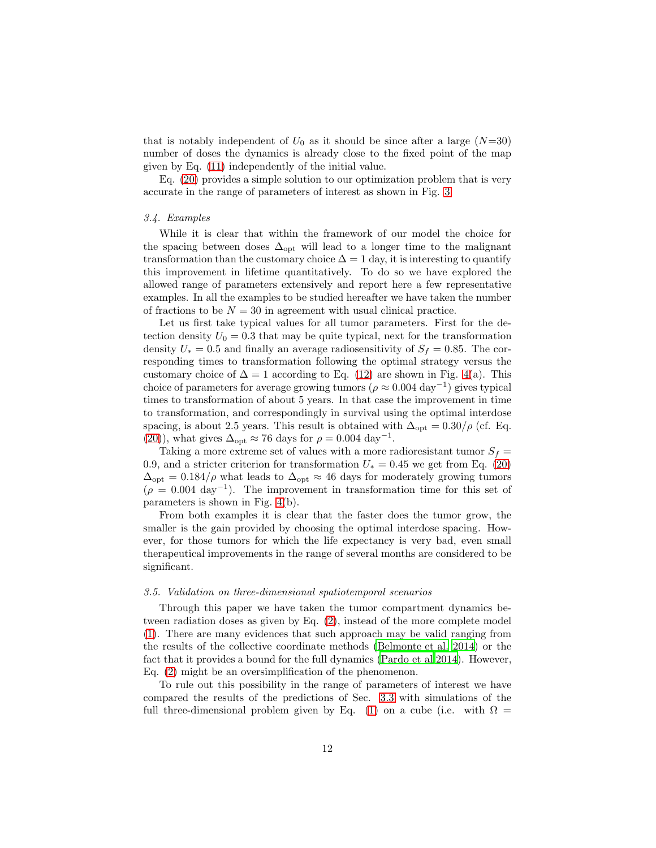that is notably independent of  $U_0$  as it should be since after a large  $(N=30)$ number of doses the dynamics is already close to the fixed point of the map given by Eq. [\(11\)](#page-6-3) independently of the initial value.

Eq. [\(20\)](#page-9-0) provides a simple solution to our optimization problem that is very accurate in the range of parameters of interest as shown in Fig. [3.](#page-10-0)

## <span id="page-11-0"></span>3.4. Examples

While it is clear that within the framework of our model the choice for the spacing between doses  $\Delta_{opt}$  will lead to a longer time to the malignant transformation than the customary choice  $\Delta = 1$  day, it is interesting to quantify this improvement in lifetime quantitatively. To do so we have explored the allowed range of parameters extensively and report here a few representative examples. In all the examples to be studied hereafter we have taken the number of fractions to be  $N = 30$  in agreement with usual clinical practice.

Let us first take typical values for all tumor parameters. First for the detection density  $U_0 = 0.3$  that may be quite typical, next for the transformation density  $U_* = 0.5$  and finally an average radiosensitivity of  $S_f = 0.85$ . The corresponding times to transformation following the optimal strategy versus the customary choice of  $\Delta = 1$  according to Eq. [\(12\)](#page-8-0) are shown in Fig. [4\(](#page-12-0)a). This choice of parameters for average growing tumors ( $\rho \approx 0.004 \text{ day}^{-1}$ ) gives typical times to transformation of about 5 years. In that case the improvement in time to transformation, and correspondingly in survival using the optimal interdose spacing, is about 2.5 years. This result is obtained with  $\Delta_{\text{opt}} = 0.30/\rho$  (cf. Eq. [\(20\)](#page-9-0)), what gives  $\Delta_{\text{opt}} \approx 76$  days for  $\rho = 0.004 \text{ day}^{-1}$ .

Taking a more extreme set of values with a more radioresistant tumor  $S_f =$ 0.9, and a stricter criterion for transformation  $U_* = 0.45$  we get from Eq. [\(20\)](#page-9-0)  $\Delta_{\text{opt}} = 0.184/\rho$  what leads to  $\Delta_{\text{opt}} \approx 46$  days for moderately growing tumors  $(\rho = 0.004 \text{ day}^{-1})$ . The improvement in transformation time for this set of parameters is shown in Fig. [4\(](#page-12-0)b).

From both examples it is clear that the faster does the tumor grow, the smaller is the gain provided by choosing the optimal interdose spacing. However, for those tumors for which the life expectancy is very bad, even small therapeutical improvements in the range of several months are considered to be significant.

#### <span id="page-11-1"></span>3.5. Validation on three-dimensional spatiotemporal scenarios

Through this paper we have taken the tumor compartment dynamics between radiation doses as given by Eq. [\(2\)](#page-3-0), instead of the more complete model [\(1\)](#page-2-1). There are many evidences that such approach may be valid ranging from the results of the collective coordinate methods [\(Belmonte et al. 2014\)](#page-17-6) or the fact that it provides a bound for the full dynamics [\(Pardo et al 2014\)](#page-20-7). However, Eq. [\(2\)](#page-3-0) might be an oversimplification of the phenomenon.

To rule out this possibility in the range of parameters of interest we have compared the results of the predictions of Sec. [3.3](#page-8-2) with simulations of the full three-dimensional problem given by Eq. [\(1\)](#page-2-1) on a cube (i.e. with  $\Omega =$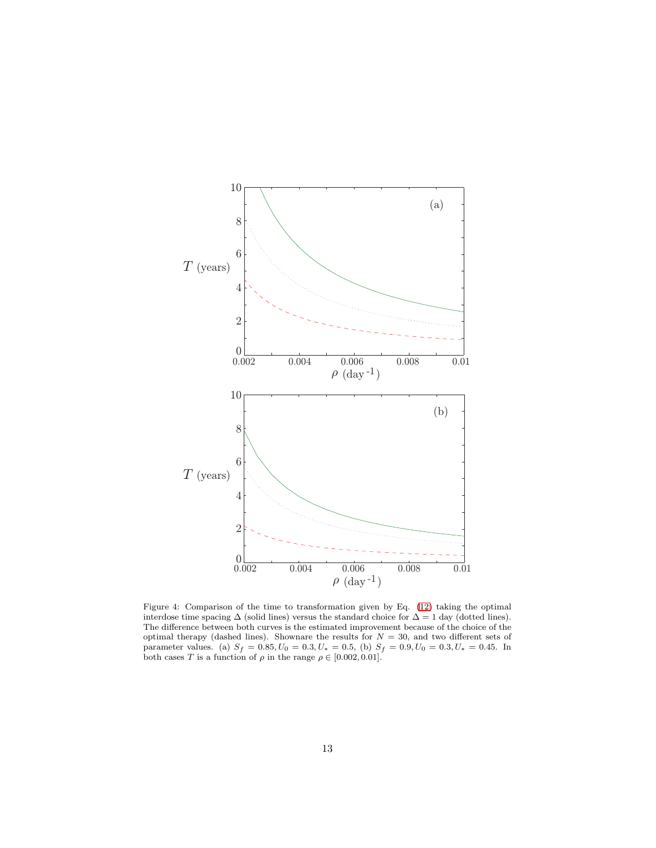

<span id="page-12-0"></span>Figure 4: Comparison of the time to transformation given by Eq. [\(12\)](#page-8-0) taking the optimal interdose time spacing ∆ (solid lines) versus the standard choice for ∆ = 1 day (dotted lines). The difference between both curves is the estimated improvement because of the choice of the optimal therapy (dashed lines). Shownare the results for  $N = 30$ , and two different sets of parameter values. (a)  $S_f = 0.85, U_0 = 0.3, U_* = 0.5$ , (b)  $S_f = 0.9, U_0 = 0.3, U_* = 0.45$ . In both cases T is a function of  $\rho$  in the range  $\rho \in [0.002, 0.01]$ .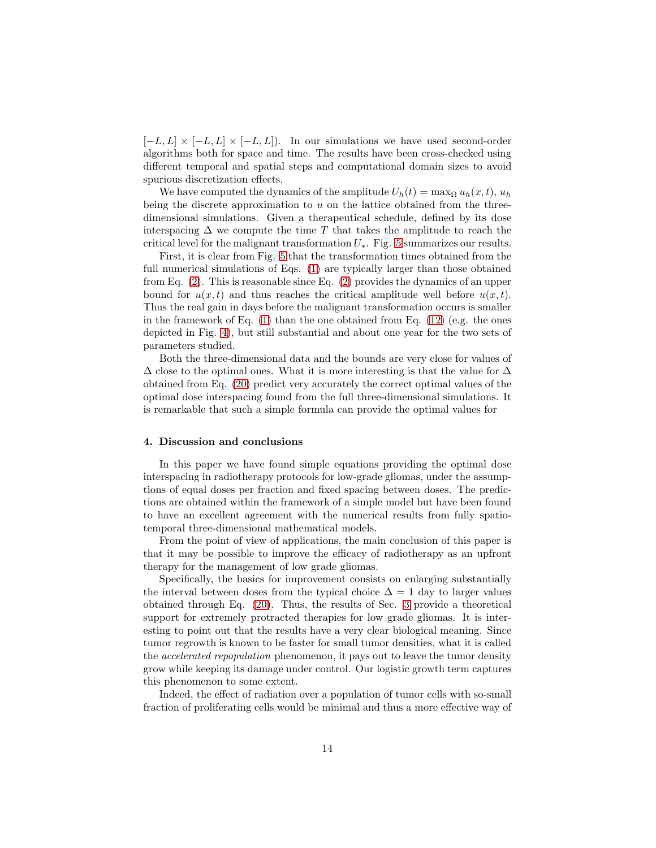$[-L, L] \times [-L, L] \times [-L, L]$ . In our simulations we have used second-order algorithms both for space and time. The results have been cross-checked using different temporal and spatial steps and computational domain sizes to avoid spurious discretization effects.

We have computed the dynamics of the amplitude  $U_h(t) = \max_{\Omega} u_h(x, t), u_h$ being the discrete approximation to  $u$  on the lattice obtained from the threedimensional simulations. Given a therapeutical schedule, defined by its dose interspacing  $\Delta$  we compute the time T that takes the amplitude to reach the critical level for the malignant transformation  $U_*$ . Fig. [5](#page-14-0) summarizes our results.

First, it is clear from Fig. [5](#page-14-0) that the transformation times obtained from the full numerical simulations of Eqs. [\(1\)](#page-2-1) are typically larger than those obtained from Eq. [\(2\)](#page-3-0). This is reasonable since Eq. [\(2\)](#page-3-0) provides the dynamics of an upper bound for  $u(x, t)$  and thus reaches the critical amplitude well before  $u(x, t)$ . Thus the real gain in days before the malignant transformation occurs is smaller in the framework of Eq.  $(1)$  than the one obtained from Eq.  $(12)$  (e.g. the ones depicted in Fig. [4\)](#page-12-0), but still substantial and about one year for the two sets of parameters studied.

Both the three-dimensional data and the bounds are very close for values of  $\Delta$  close to the optimal ones. What it is more interesting is that the value for  $\Delta$ obtained from Eq. [\(20\)](#page-9-0) predict very accurately the correct optimal values of the optimal dose interspacing found from the full three-dimensional simulations. It is remarkable that such a simple formula can provide the optimal values for

#### <span id="page-13-0"></span>4. Discussion and conclusions

In this paper we have found simple equations providing the optimal dose interspacing in radiotherapy protocols for low-grade gliomas, under the assumptions of equal doses per fraction and fixed spacing between doses. The predictions are obtained within the framework of a simple model but have been found to have an excellent agreement with the numerical results from fully spatiotemporal three-dimensional mathematical models.

From the point of view of applications, the main conclusion of this paper is that it may be possible to improve the efficacy of radiotherapy as an upfront therapy for the management of low grade gliomas.

Specifically, the basics for improvement consists on enlarging substantially the interval between doses from the typical choice  $\Delta = 1$  day to larger values obtained through Eq. [\(20\)](#page-9-0). Thus, the results of Sec. [3](#page-6-0) provide a theoretical support for extremely protracted therapies for low grade gliomas. It is interesting to point out that the results have a very clear biological meaning. Since tumor regrowth is known to be faster for small tumor densities, what it is called the *accelerated repopulation* phenomenon, it pays out to leave the tumor density grow while keeping its damage under control. Our logistic growth term captures this phenomenon to some extent.

Indeed, the effect of radiation over a population of tumor cells with so-small fraction of proliferating cells would be minimal and thus a more effective way of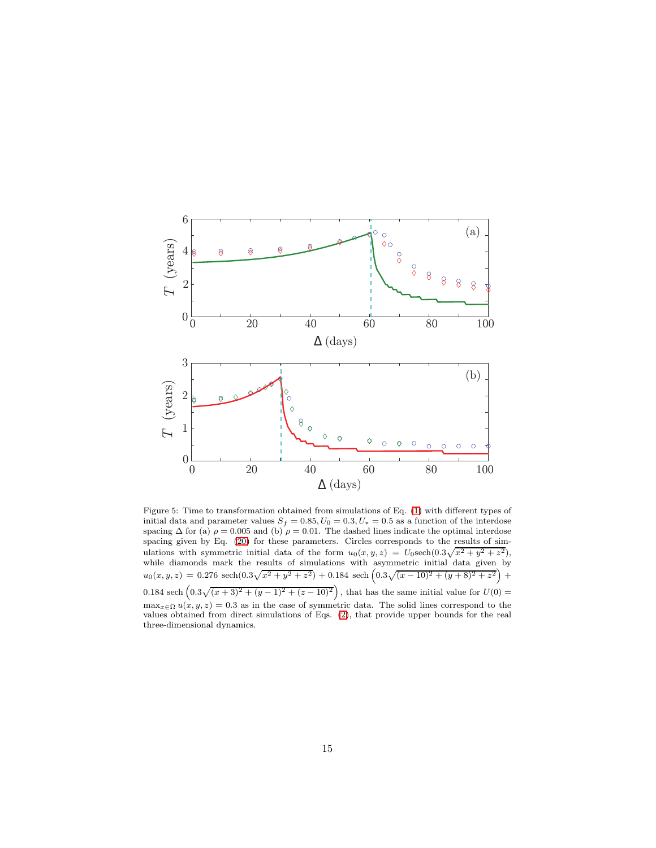

<span id="page-14-0"></span>Figure 5: Time to transformation obtained from simulations of Eq. [\(1\)](#page-2-1) with different types of initial data and parameter values  $S_f = 0.85, U_0 = 0.3, U_* = 0.5$  as a function of the interdose spacing  $\Delta$  for (a)  $\rho = 0.005$  and (b)  $\rho = 0.01$ . The dashed lines indicate the optimal interdose spacing given by Eq. [\(20\)](#page-9-0) for these parameters. Circles corresponds to the results of simulations with symmetric initial data of the form  $u_0(x, y, z) = U_0 \text{sech}(0.3\sqrt{x^2 + y^2 + z^2})$ , while diamonds mark the results of simulations with asymmetric initial data given by  $u_0(x, y, z) = 0.276 \text{ sech}(0.3\sqrt{x^2 + y^2 + z^2}) + 0.184 \text{ sech}\left(0.3\sqrt{(x - 10)^2 + (y + 8)^2 + z^2}\right) +$ 0.184 sech  $(0.3\sqrt{(x+3)^2+(y-1)^2+(z-10)^2})$ , that has the same initial value for  $U(0)$  =  $\max_{x \in \Omega} u(x, y, z) = 0.3$  as in the case of symmetric data. The solid lines correspond to the values obtained from direct simulations of Eqs. [\(2\)](#page-3-0), that provide upper bounds for the real three-dimensional dynamics.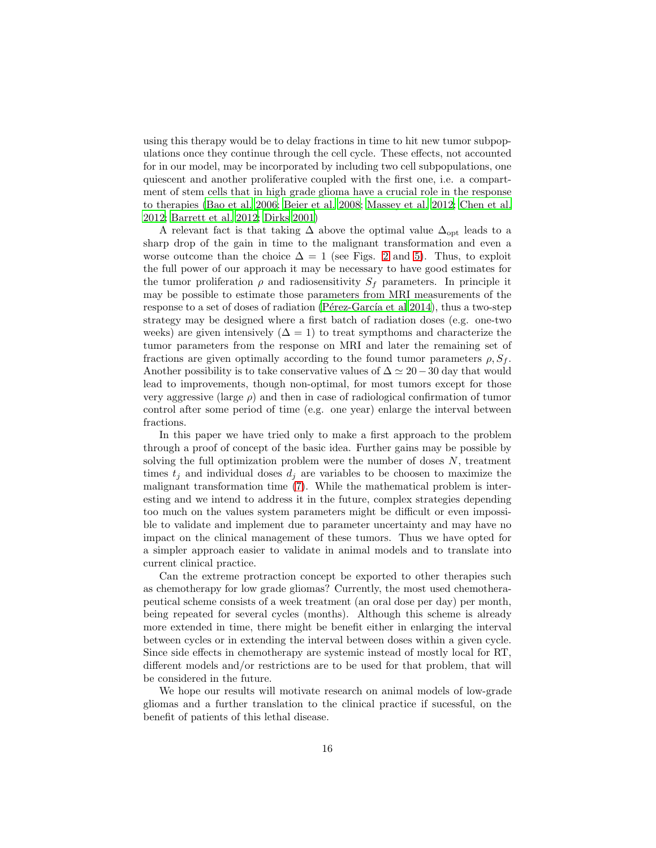using this therapy would be to delay fractions in time to hit new tumor subpopulations once they continue through the cell cycle. These effects, not accounted for in our model, may be incorporated by including two cell subpopulations, one quiescent and another proliferative coupled with the first one, i.e. a compartment of stem cells that in high grade glioma have a crucial role in the response to therapies [\(Bao et al. 2006;](#page-17-7) [Beier et al. 2008;](#page-17-8) [Massey et al. 2012](#page-19-8); [Chen et al.](#page-17-9) [2012;](#page-17-9) [Barrett et al. 2012;](#page-17-10) [Dirks 2001\)](#page-18-11)

A relevant fact is that taking  $\Delta$  above the optimal value  $\Delta_{\text{opt}}$  leads to a sharp drop of the gain in time to the malignant transformation and even a worse outcome than the choice  $\Delta = 1$  (see Figs. [2](#page-8-1) and [5\)](#page-14-0). Thus, to exploit the full power of our approach it may be necessary to have good estimates for the tumor proliferation  $\rho$  and radiosensitivity  $S_f$  parameters. In principle it may be possible to estimate those parameters from MRI measurements of the response to a set of doses of radiation (Pérez-García et al  $2014$ ), thus a two-step strategy may be designed where a first batch of radiation doses (e.g. one-two weeks) are given intensively  $(\Delta = 1)$  to treat sympthoms and characterize the tumor parameters from the response on MRI and later the remaining set of fractions are given optimally according to the found tumor parameters  $\rho$ ,  $S_f$ . Another possibility is to take conservative values of  $\Delta \simeq 20-30$  day that would lead to improvements, though non-optimal, for most tumors except for those very aggressive (large  $\rho$ ) and then in case of radiological confirmation of tumor control after some period of time (e.g. one year) enlarge the interval between fractions.

In this paper we have tried only to make a first approach to the problem through a proof of concept of the basic idea. Further gains may be possible by solving the full optimization problem were the number of doses  $N$ , treatment times  $t_j$  and individual doses  $d_j$  are variables to be choosen to maximize the malignant transformation time [\(7\)](#page-5-0). While the mathematical problem is interesting and we intend to address it in the future, complex strategies depending too much on the values system parameters might be difficult or even impossible to validate and implement due to parameter uncertainty and may have no impact on the clinical management of these tumors. Thus we have opted for a simpler approach easier to validate in animal models and to translate into current clinical practice.

Can the extreme protraction concept be exported to other therapies such as chemotherapy for low grade gliomas? Currently, the most used chemotherapeutical scheme consists of a week treatment (an oral dose per day) per month, being repeated for several cycles (months). Although this scheme is already more extended in time, there might be benefit either in enlarging the interval between cycles or in extending the interval between doses within a given cycle. Since side effects in chemotherapy are systemic instead of mostly local for RT, different models and/or restrictions are to be used for that problem, that will be considered in the future.

We hope our results will motivate research on animal models of low-grade gliomas and a further translation to the clinical practice if sucessful, on the benefit of patients of this lethal disease.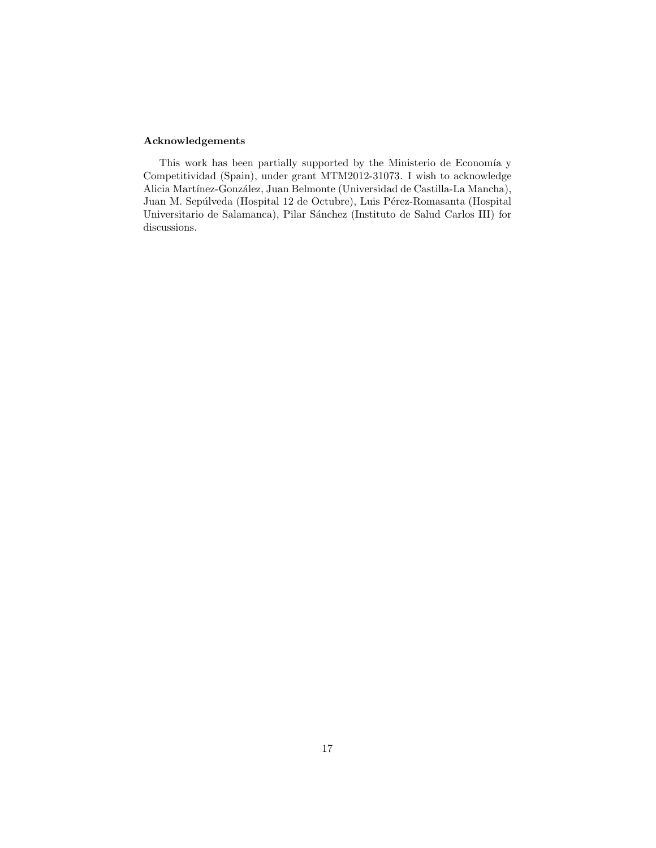## Acknowledgements

This work has been partially supported by the Ministerio de Economía y Competitividad (Spain), under grant MTM2012-31073. I wish to acknowledge Alicia Martínez-González, Juan Belmonte (Universidad de Castilla-La Mancha), Juan M. Sepúlveda (Hospital 12 de Octubre), Luis Pérez-Romasanta (Hospital Universitario de Salamanca), Pilar Sánchez (Instituto de Salud Carlos III) for discussions.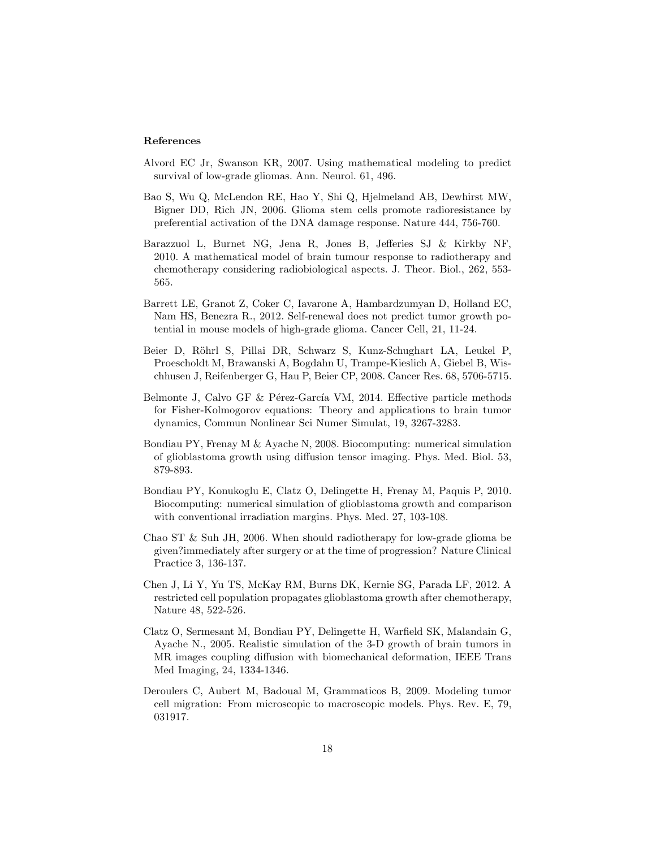## References

- <span id="page-17-5"></span>Alvord EC Jr, Swanson KR, 2007. Using mathematical modeling to predict survival of low-grade gliomas. Ann. Neurol. 61, 496.
- <span id="page-17-7"></span>Bao S, Wu Q, McLendon RE, Hao Y, Shi Q, Hjelmeland AB, Dewhirst MW, Bigner DD, Rich JN, 2006. Glioma stem cells promote radioresistance by preferential activation of the DNA damage response. Nature 444, 756-760.
- <span id="page-17-4"></span>Barazzuol L, Burnet NG, Jena R, Jones B, Jefferies SJ & Kirkby NF, 2010. A mathematical model of brain tumour response to radiotherapy and chemotherapy considering radiobiological aspects. J. Theor. Biol., 262, 553- 565.
- <span id="page-17-10"></span>Barrett LE, Granot Z, Coker C, Iavarone A, Hambardzumyan D, Holland EC, Nam HS, Benezra R., 2012. Self-renewal does not predict tumor growth potential in mouse models of high-grade glioma. Cancer Cell, 21, 11-24.
- <span id="page-17-8"></span>Beier D, Röhrl S, Pillai DR, Schwarz S, Kunz-Schughart LA, Leukel P, Proescholdt M, Brawanski A, Bogdahn U, Trampe-Kieslich A, Giebel B, Wischhusen J, Reifenberger G, Hau P, Beier CP, 2008. Cancer Res. 68, 5706-5715.
- <span id="page-17-6"></span>Belmonte J, Calvo GF & Pérez-García VM, 2014. Effective particle methods for Fisher-Kolmogorov equations: Theory and applications to brain tumor dynamics, Commun Nonlinear Sci Numer Simulat, 19, 3267-3283.
- <span id="page-17-2"></span>Bondiau PY, Frenay M & Ayache N, 2008. Biocomputing: numerical simulation of glioblastoma growth using diffusion tensor imaging. Phys. Med. Biol. 53, 879-893.
- <span id="page-17-3"></span>Bondiau PY, Konukoglu E, Clatz O, Delingette H, Frenay M, Paquis P, 2010. Biocomputing: numerical simulation of glioblastoma growth and comparison with conventional irradiation margins. Phys. Med. 27, 103-108.
- <span id="page-17-0"></span>Chao ST  $\&$  Suh JH, 2006. When should radiotherapy for low-grade glioma be given?immediately after surgery or at the time of progression? Nature Clinical Practice 3, 136-137.
- <span id="page-17-9"></span>Chen J, Li Y, Yu TS, McKay RM, Burns DK, Kernie SG, Parada LF, 2012. A restricted cell population propagates glioblastoma growth after chemotherapy, Nature 48, 522-526.
- <span id="page-17-1"></span>Clatz O, Sermesant M, Bondiau PY, Delingette H, Warfield SK, Malandain G, Ayache N., 2005. Realistic simulation of the 3-D growth of brain tumors in MR images coupling diffusion with biomechanical deformation, IEEE Trans Med Imaging, 24, 1334-1346.
- Deroulers C, Aubert M, Badoual M, Grammaticos B, 2009. Modeling tumor cell migration: From microscopic to macroscopic models. Phys. Rev. E, 79, 031917.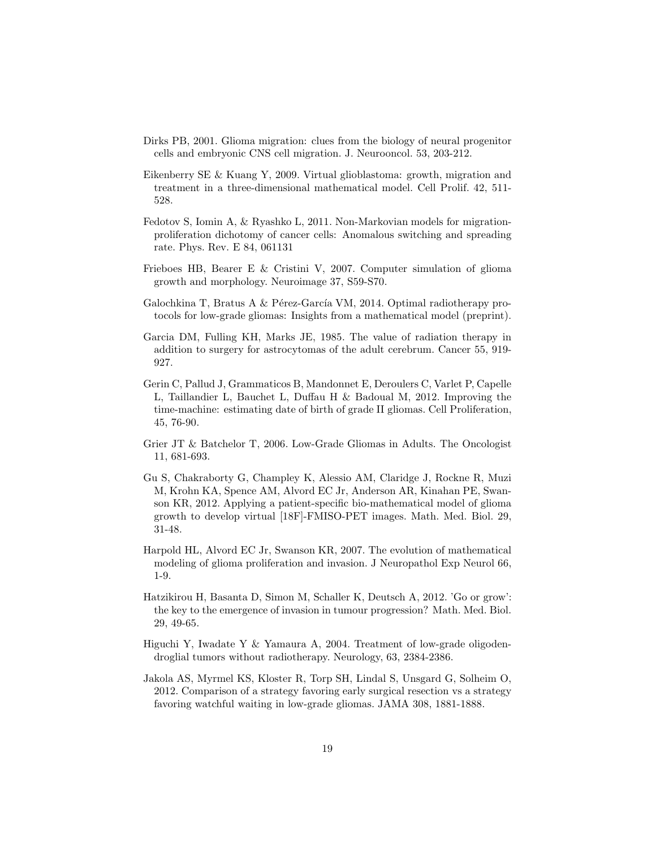- <span id="page-18-11"></span>Dirks PB, 2001. Glioma migration: clues from the biology of neural progenitor cells and embryonic CNS cell migration. J. Neurooncol. 53, 203-212.
- <span id="page-18-6"></span>Eikenberry SE & Kuang Y, 2009. Virtual glioblastoma: growth, migration and treatment in a three-dimensional mathematical model. Cell Prolif. 42, 511- 528.
- <span id="page-18-4"></span>Fedotov S, Iomin A, & Ryashko L, 2011. Non-Markovian models for migrationproliferation dichotomy of cancer cells: Anomalous switching and spreading rate. Phys. Rev. E 84, 061131
- <span id="page-18-5"></span>Frieboes HB, Bearer E & Cristini V, 2007. Computer simulation of glioma growth and morphology. Neuroimage 37, S59-S70.
- <span id="page-18-8"></span>Galochkina T, Bratus A & Pérez-García VM, 2014. Optimal radiotherapy protocols for low-grade gliomas: Insights from a mathematical model (preprint).
- <span id="page-18-2"></span>Garcia DM, Fulling KH, Marks JE, 1985. The value of radiation therapy in addition to surgery for astrocytomas of the adult cerebrum. Cancer 55, 919- 927.
- <span id="page-18-9"></span>Gerin C, Pallud J, Grammaticos B, Mandonnet E, Deroulers C, Varlet P, Capelle L, Taillandier L, Bauchet L, Duffau H & Badoual M, 2012. Improving the time-machine: estimating date of birth of grade II gliomas. Cell Proliferation, 45, 76-90.
- <span id="page-18-0"></span>Grier JT & Batchelor T, 2006. Low-Grade Gliomas in Adults. The Oncologist 11, 681-693.
- <span id="page-18-7"></span>Gu S, Chakraborty G, Champley K, Alessio AM, Claridge J, Rockne R, Muzi M, Krohn KA, Spence AM, Alvord EC Jr, Anderson AR, Kinahan PE, Swanson KR, 2012. Applying a patient-specific bio-mathematical model of glioma growth to develop virtual [18F]-FMISO-PET images. Math. Med. Biol. 29, 31-48.
- <span id="page-18-10"></span>Harpold HL, Alvord EC Jr, Swanson KR, 2007. The evolution of mathematical modeling of glioma proliferation and invasion. J Neuropathol Exp Neurol 66, 1-9.
- Hatzikirou H, Basanta D, Simon M, Schaller K, Deutsch A, 2012. 'Go or grow': the key to the emergence of invasion in tumour progression? Math. Med. Biol. 29, 49-65.
- <span id="page-18-3"></span>Higuchi Y, Iwadate Y & Yamaura A, 2004. Treatment of low-grade oligodendroglial tumors without radiotherapy. Neurology, 63, 2384-2386.
- <span id="page-18-1"></span>Jakola AS, Myrmel KS, Kloster R, Torp SH, Lindal S, Unsgard G, Solheim O, 2012. Comparison of a strategy favoring early surgical resection vs a strategy favoring watchful waiting in low-grade gliomas. JAMA 308, 1881-1888.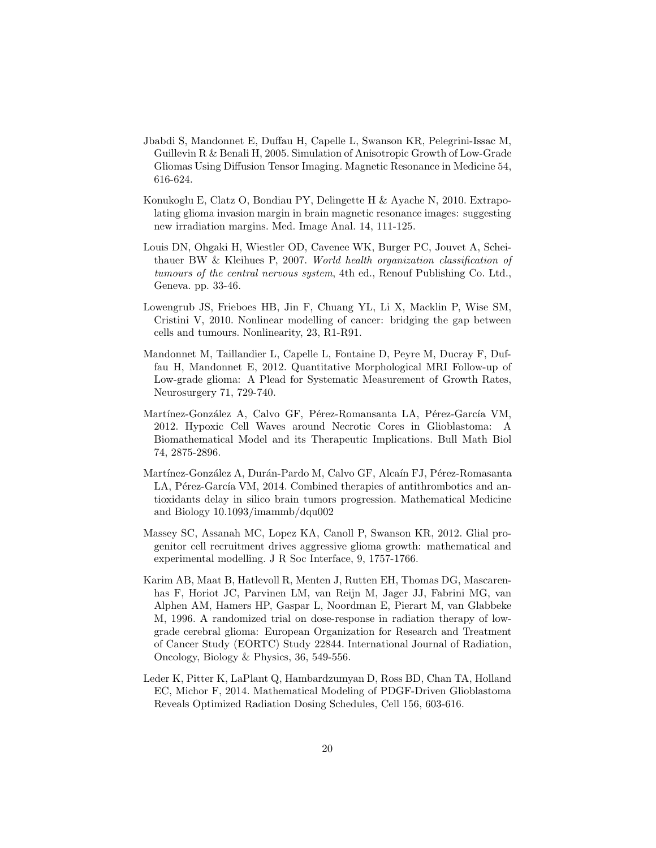- <span id="page-19-1"></span>Jbabdi S, Mandonnet E, Duffau H, Capelle L, Swanson KR, Pelegrini-Issac M, Guillevin R & Benali H, 2005. Simulation of Anisotropic Growth of Low-Grade Gliomas Using Diffusion Tensor Imaging. Magnetic Resonance in Medicine 54, 616-624.
- <span id="page-19-5"></span>Konukoglu E, Clatz O, Bondiau PY, Delingette H & Ayache N, 2010. Extrapolating glioma invasion margin in brain magnetic resonance images: suggesting new irradiation margins. Med. Image Anal. 14, 111-125.
- <span id="page-19-0"></span>Louis DN, Ohgaki H, Wiestler OD, Cavenee WK, Burger PC, Jouvet A, Scheithauer BW & Kleihues P, 2007. World health organization classification of tumours of the central nervous system, 4th ed., Renouf Publishing Co. Ltd., Geneva. pp. 33-46.
- <span id="page-19-2"></span>Lowengrub JS, Frieboes HB, Jin F, Chuang YL, Li X, Macklin P, Wise SM, Cristini V, 2010. Nonlinear modelling of cancer: bridging the gap between cells and tumours. Nonlinearity, 23, R1-R91.
- Mandonnet M, Taillandier L, Capelle L, Fontaine D, Peyre M, Ducray F, Duffau H, Mandonnet E, 2012. Quantitative Morphological MRI Follow-up of Low-grade glioma: A Plead for Systematic Measurement of Growth Rates, Neurosurgery 71, 729-740.
- <span id="page-19-3"></span>Martínez-González A, Calvo GF, Pérez-Romansanta LA, Pérez-García VM, 2012. Hypoxic Cell Waves around Necrotic Cores in Glioblastoma: A Biomathematical Model and its Therapeutic Implications. Bull Math Biol 74, 2875-2896.
- <span id="page-19-4"></span>Martínez-González A, Durán-Pardo M, Calvo GF, Alcaín FJ, Pérez-Romasanta LA, Pérez-García VM, 2014. Combined therapies of antithrombotics and antioxidants delay in silico brain tumors progression. Mathematical Medicine and Biology 10.1093/imammb/dqu002
- <span id="page-19-8"></span>Massey SC, Assanah MC, Lopez KA, Canoll P, Swanson KR, 2012. Glial progenitor cell recruitment drives aggressive glioma growth: mathematical and experimental modelling. J R Soc Interface, 9, 1757-1766.
- <span id="page-19-7"></span>Karim AB, Maat B, Hatlevoll R, Menten J, Rutten EH, Thomas DG, Mascarenhas F, Horiot JC, Parvinen LM, van Reijn M, Jager JJ, Fabrini MG, van Alphen AM, Hamers HP, Gaspar L, Noordman E, Pierart M, van Glabbeke M, 1996. A randomized trial on dose-response in radiation therapy of lowgrade cerebral glioma: European Organization for Research and Treatment of Cancer Study (EORTC) Study 22844. International Journal of Radiation, Oncology, Biology & Physics, 36, 549-556.
- <span id="page-19-6"></span>Leder K, Pitter K, LaPlant Q, Hambardzumyan D, Ross BD, Chan TA, Holland EC, Michor F, 2014. Mathematical Modeling of PDGF-Driven Glioblastoma Reveals Optimized Radiation Dosing Schedules, Cell 156, 603-616.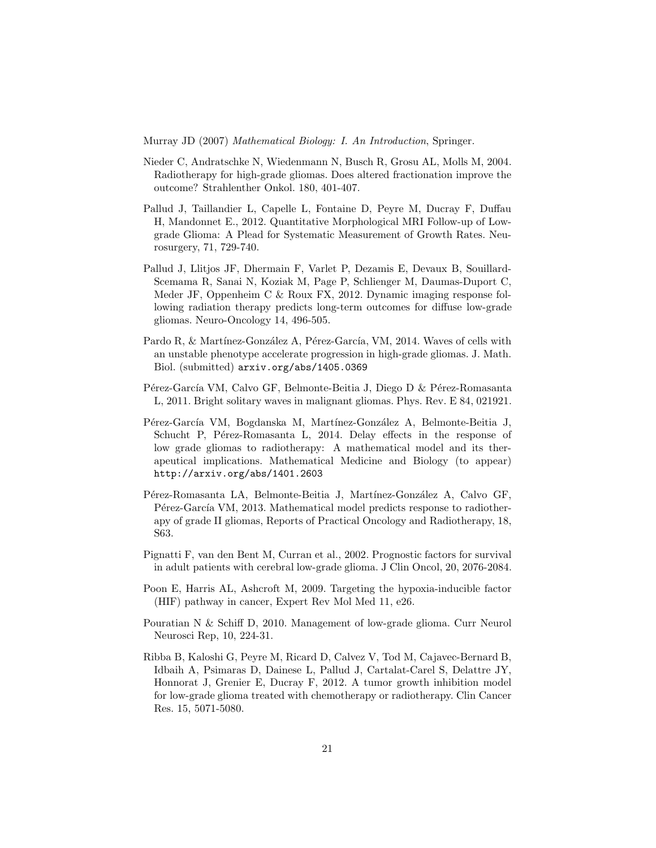<span id="page-20-5"></span>Murray JD (2007) Mathematical Biology: I. An Introduction, Springer.

- Nieder C, Andratschke N, Wiedenmann N, Busch R, Grosu AL, Molls M, 2004. Radiotherapy for high-grade gliomas. Does altered fractionation improve the outcome? Strahlenther Onkol. 180, 401-407.
- <span id="page-20-2"></span>Pallud J, Taillandier L, Capelle L, Fontaine D, Peyre M, Ducray F, Duffau H, Mandonnet E., 2012. Quantitative Morphological MRI Follow-up of Lowgrade Glioma: A Plead for Systematic Measurement of Growth Rates. Neurosurgery, 71, 729-740.
- <span id="page-20-3"></span>Pallud J, Llitjos JF, Dhermain F, Varlet P, Dezamis E, Devaux B, Souillard-Scemama R, Sanai N, Koziak M, Page P, Schlienger M, Daumas-Duport C, Meder JF, Oppenheim C & Roux FX, 2012. Dynamic imaging response following radiation therapy predicts long-term outcomes for diffuse low-grade gliomas. Neuro-Oncology 14, 496-505.
- <span id="page-20-7"></span>Pardo R, & Martínez-González A, Pérez-García, VM, 2014. Waves of cells with an unstable phenotype accelerate progression in high-grade gliomas. J. Math. Biol. (submitted) arxiv.org/abs/1405.0369
- <span id="page-20-8"></span>Pérez-García VM, Calvo GF, Belmonte-Beitia J, Diego D & Pérez-Romasanta L, 2011. Bright solitary waves in malignant gliomas. Phys. Rev. E 84, 021921.
- <span id="page-20-4"></span>Pérez-García VM, Bogdanska M, Martínez-González A, Belmonte-Beitia J, Schucht P, Pérez-Romasanta L, 2014. Delay effects in the response of low grade gliomas to radiotherapy: A mathematical model and its therapeutical implications. Mathematical Medicine and Biology (to appear) http://arxiv.org/abs/1401.2603
- Pérez-Romasanta LA, Belmonte-Beitia J, Martínez-González A, Calvo GF, Pérez-García VM, 2013. Mathematical model predicts response to radiotherapy of grade II gliomas, Reports of Practical Oncology and Radiotherapy, 18, S63.
- <span id="page-20-0"></span>Pignatti F, van den Bent M, Curran et al., 2002. Prognostic factors for survival in adult patients with cerebral low-grade glioma. J Clin Oncol, 20, 2076-2084.
- <span id="page-20-9"></span>Poon E, Harris AL, Ashcroft M, 2009. Targeting the hypoxia-inducible factor (HIF) pathway in cancer, Expert Rev Mol Med 11, e26.
- <span id="page-20-1"></span>Pouratian N & Schiff D, 2010. Management of low-grade glioma. Curr Neurol Neurosci Rep, 10, 224-31.
- <span id="page-20-6"></span>Ribba B, Kaloshi G, Peyre M, Ricard D, Calvez V, Tod M, Cajavec-Bernard B, Idbaih A, Psimaras D, Dainese L, Pallud J, Cartalat-Carel S, Delattre JY, Honnorat J, Grenier E, Ducray F, 2012. A tumor growth inhibition model for low-grade glioma treated with chemotherapy or radiotherapy. Clin Cancer Res. 15, 5071-5080.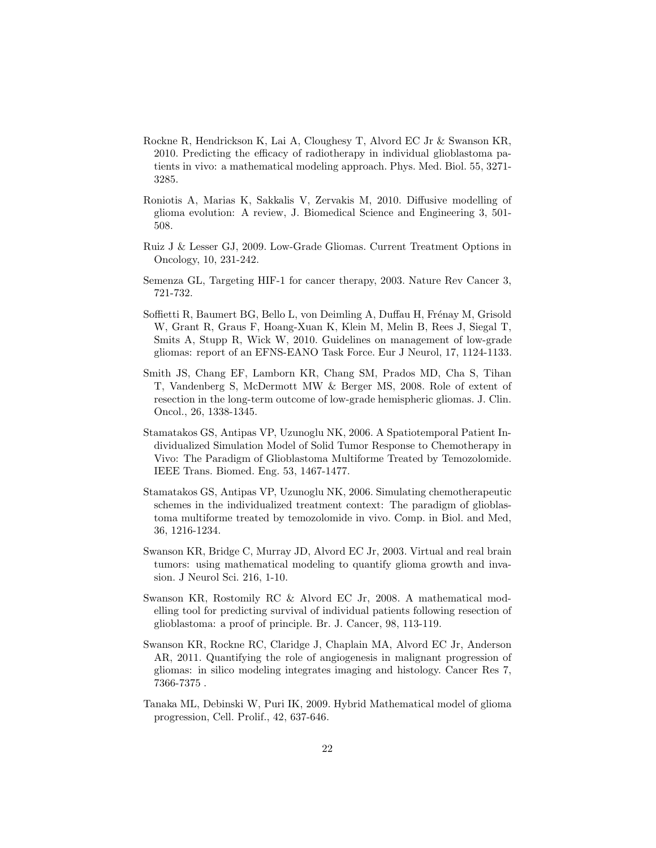- <span id="page-21-9"></span>Rockne R, Hendrickson K, Lai A, Cloughesy T, Alvord EC Jr & Swanson KR, 2010. Predicting the efficacy of radiotherapy in individual glioblastoma patients in vivo: a mathematical modeling approach. Phys. Med. Biol. 55, 3271- 3285.
- <span id="page-21-7"></span>Roniotis A, Marias K, Sakkalis V, Zervakis M, 2010. Diffusive modelling of glioma evolution: A review, J. Biomedical Science and Engineering 3, 501- 508.
- <span id="page-21-1"></span>Ruiz J & Lesser GJ, 2009. Low-Grade Gliomas. Current Treatment Options in Oncology, 10, 231-242.
- <span id="page-21-10"></span>Semenza GL, Targeting HIF-1 for cancer therapy, 2003. Nature Rev Cancer 3, 721-732.
- <span id="page-21-11"></span>Soffietti R, Baumert BG, Bello L, von Deimling A, Duffau H, Frénay M, Grisold W, Grant R, Graus F, Hoang-Xuan K, Klein M, Melin B, Rees J, Siegal T, Smits A, Stupp R, Wick W, 2010. Guidelines on management of low-grade gliomas: report of an EFNS-EANO Task Force. Eur J Neurol, 17, 1124-1133.
- <span id="page-21-0"></span>Smith JS, Chang EF, Lamborn KR, Chang SM, Prados MD, Cha S, Tihan T, Vandenberg S, McDermott MW & Berger MS, 2008. Role of extent of resection in the long-term outcome of low-grade hemispheric gliomas. J. Clin. Oncol., 26, 1338-1345.
- <span id="page-21-3"></span>Stamatakos GS, Antipas VP, Uzunoglu NK, 2006. A Spatiotemporal Patient Individualized Simulation Model of Solid Tumor Response to Chemotherapy in Vivo: The Paradigm of Glioblastoma Multiforme Treated by Temozolomide. IEEE Trans. Biomed. Eng. 53, 1467-1477.
- <span id="page-21-4"></span>Stamatakos GS, Antipas VP, Uzunoglu NK, 2006. Simulating chemotherapeutic schemes in the individualized treatment context: The paradigm of glioblastoma multiforme treated by temozolomide in vivo. Comp. in Biol. and Med, 36, 1216-1234.
- <span id="page-21-2"></span>Swanson KR, Bridge C, Murray JD, Alvord EC Jr, 2003. Virtual and real brain tumors: using mathematical modeling to quantify glioma growth and invasion. J Neurol Sci. 216, 1-10.
- <span id="page-21-5"></span>Swanson KR, Rostomily RC & Alvord EC Jr, 2008. A mathematical modelling tool for predicting survival of individual patients following resection of glioblastoma: a proof of principle. Br. J. Cancer, 98, 113-119.
- <span id="page-21-8"></span>Swanson KR, Rockne RC, Claridge J, Chaplain MA, Alvord EC Jr, Anderson AR, 2011. Quantifying the role of angiogenesis in malignant progression of gliomas: in silico modeling integrates imaging and histology. Cancer Res 7, 7366-7375 .
- <span id="page-21-6"></span>Tanaka ML, Debinski W, Puri IK, 2009. Hybrid Mathematical model of glioma progression, Cell. Prolif., 42, 637-646.